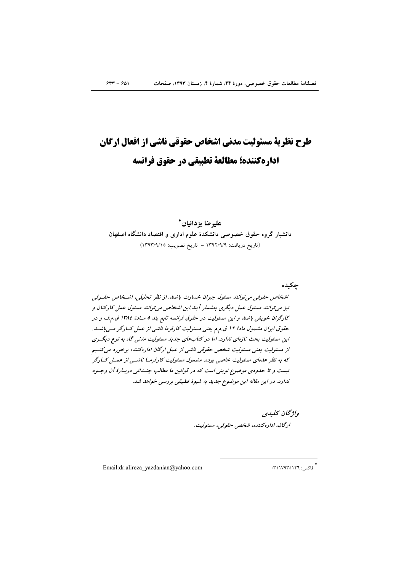# طرح نظریة مسئولیت مدنی اشخاص حقوقی ناشی از افعال ارگان اداره كننده؛ مطالعة تطبيقي در حقوق فرانسه

عليرضا بزدانيان\* دانشیار گروه حقوق خصوصی دانشکدهٔ علوم اداری و اقتصاد دانشگاه اصفهان (تاريخ دريافت: ١٣٩٢/٩/٩ - تاريخ تصويب: ١٣٩٣/٩/١٥)

حكىدە

اشخاص حقوقیی می توانند مسئول جبران خسارت باشند. از نظر تحلیلی، اشتخاص حقسوقی نیز می توانند مسئول عمل دیگری بهشمار آیند.این اشخاص می توانند مسئول عمل کارکنان و کارگران خویش باشند و این مسئولیت در حقوق فرانسه تابع بند ۵ مـادهٔ ۱۳۸٤ ق.م.ف و در حقوق ایران مشمول مادهٔ ۱۲ ق.م.م یعنی مسئولیت کارفرما ناشی از عمل کسارگر مسی باشسد. این مسئولیت بحث تازهای ندارد، اما در کتابهای جدید مسئولیت مدنی گاه به نوع دیگـری از مسئولیت یعنی مسئولیت شخص حقوقی ناشی از عمل ارگان اداره کننده برخورد میکنیم که به نظر عدهای مسئولیت خاصی بوده، مشمول مسئولیت کارفرمـا ناشــی از عمــل کــارگر نیست و تا حدودی موضوع نوینی است که در قوانین ما مطالب چنسانی دربیارهٔ آن وجسود ندارد. در این مقاله این موضوع جدید به شیوهٔ تطبیقی بررسی خواهد شد.

> واۋىچان كىلىدى ارگان، اداره كننده، شخص حقوقبي، مسئوليت.

Email:dr.alireza yazdanian@yahoo.com

\*<br>\* فاکسر: ٣١١٧٩٣٥١٢٦.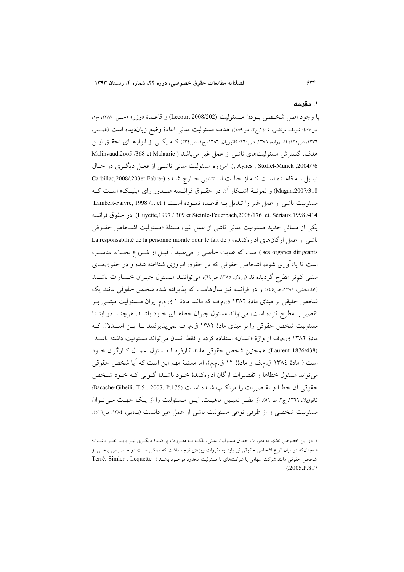#### ۱. مقدمه

با وجود اصل شخصي بـودن مـسئوليت (Lecourt.2008/202) و قاعـدهٔ «وزر» (حلـ، ١٣٨٧، ج١، ص٤٠٧؛ شريف مرتضى، ١٤٠٥.ج٢، ص١٨٩)، هدف مسئوليت مدنى اعادة وضع زيانديده است (غمامي، ۱۳۷٦، ص۱۲۰؛ قاسمزاده، ۱۳۷۸، ص۲۰: کاتوزیان، ۱۳۸۲، ج۱، ص۴۵) کــه یکــی از ابزارهــای تحقــق ایــن هدف، گسترش مسئولیتهای ناشی از عمل غیر می باشد ( Malinvaud,2005 /368 et Malaurie Aynes , Stoffel-Munck ,2004/76 .). امروزه مسئولیت مدنی ناشم از فعـل دیگری در حـال تبدیل بـه قاعـده اسـت کـه از حالـت اسـتثنایی خـارج شـده (-Carbillac,2008/.203et Fabre Magan,2007/318) و نعونـهٔ آشـکار آن در حقـوق فرانـسه صـدور رای «بلیـک» اسـت کـه مسئوليت ناشي از عمل غير را تبديل بـه قاعـده نمـوده اسـت ( Lambert-Faivre, 1998 /1. et Huyette,1997 / 309 et Steinlé-Feuerbach,2008/176 et. Sériaux,1998 /414). در حقوق فرانسه یکی از مسائل جدید مسئولیت مدنی ناشی از عمل غیر، مسئلهٔ «مسئولیت اشـخاص حقـوقی ناشی از عمل ارگانهای ادارهکننده» ( La responsabilité de la personne morale pour le fait de ses organes dirigeants ) است كه عنايت خاصي را مي طلبد `. قبــل از شــروع بحــث، مناســب است تا یادآوری شود، اشخاص حقوقی که در حقوق امروزی شناخته شده و در حقوق های سنتمی کم تر مطرح گردیدهاند (رولان ۱۳۸۵، ص۱۲)، می توانسد مسئول جبـران خـسارات باشـند (خدابخشی، ۱۳۸۹، ص٤٤٥) و در فرانسه نیز سالهاست که پذیرفته شده شخص حقوقی مانند یک شخص حقیقی بر مبنای مادهٔ ۱۳۸۲ ق.م.ف که مانند مادهٔ ۱ ق.م.م ایران مـسئولیت مبتنــی بــر تقصیر را مطرح کرده است، میتواند مسئول جبران خطاهـای خـود باشـد. هرچنـد در ابتـدا مسئولیت شخص حقوقی را بر مبنای مادهٔ ۱۳۸۲ ق.م. ف نمیپذیرفتند بـا ایــن اسـتدلال کــه مادة ١٣٨٢ ق.م.ف از واژة «انسان» استفاده كرده و فقط انسان مى تواند مسئوليت داشته باشـد (Laurent 1876/438). همچنین شخص حقوقی مانند کارفرمـا مـسئول اعمـال کـارگران خـود است ( مادة ١٣٨٤ ق.م.ف و مادةة ١٢ ق.م.م)، اما مسئلة مهم اين است كه آيا شخص حقوقي می تواند مسئول خطاها و تقصیرات ارگان ادارهکنندهٔ خـود باشـد؛ گـویی کـه خـود شـخص حقوقي أن خطا و تقسيم ات را مرتكب شيده است Bacache-Gibeili. T.5 . 2007. P.175)؛ کاتوزیان، ١٣٦٦، ج٢، ص٥٩). از نظـر تعیـین ماهیـت، ایـن مـسئولیت را از یـک جهـت مـیتوان مسئوليت شخصي و از طرفي نوعي مسئوليت ناشي از عمل غير دانست (بـاديني، ١٣٨٤، ص٥١٦).

١. در اين خصوص نه تنها به مقررات حقوق مسئوليت مدني، بلكـه بــه مقــررات پراكنــدۀ ديگــرى نيــز بايــد نظـر داشــت؛ همچنانکه در میان انواع اشخاص حقوقی نیز باید به مقررات ویژهای توجه داشت که ممکن است در خـصوص برخــی از اشخاص حقوقی مانند شرکت سهامی یا شرکتهای با مسئولیت محدود موجـود باشـد ( Terré. Simler . Lequette  $. (2005.P.817)$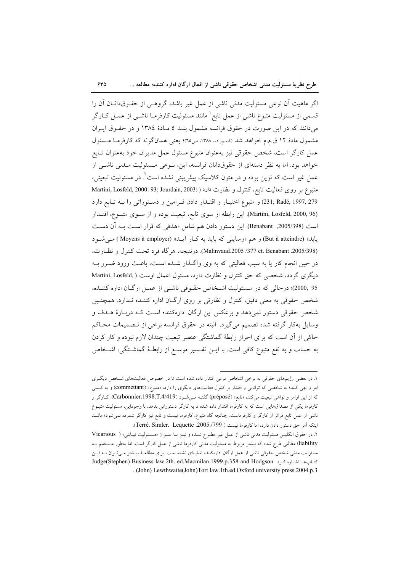اگر ماهیت آن نوعی مسئولیت مدنی ناشی از عمل غیر باشد، گروهـی از حقـوقدانــان آن را قسمی از مسئولیت متبوع ناشی از عمل تابع<sup>۱</sup> مانند مسئولیت کارفرمـا ناشـ<sub>ی</sub> از عمـل کــارگر میدانند که در این صورت در حقوق فرانسه مشمول بنـد ٥ مـادهٔ ١٣٨٤ و در حقـوق ايـران مشمول مادة ١٢ ق.م.م خواهد شد (قاسمزاده، ١٣٨٨، ص٦٥)؛ يعني همانگونه كه كارفرمـا مـسئول عمل كارگر است، شخص حقوقى نيز بهعنوان متبوع مسئول عمل مديران خود بهعنوان تـابع خواهد بود. اما به نظر دستهای از حقوقدانان فرانسه، این، نـوعی مـسئولیت مـدنی ناشـی از عمل غیر است که نوین بوده و در متون کلاسیک پیش بینی نشده است ٌ. در مسئولیت تبعیتی، متبوع بر روى فعاليت تابع، كنترل و نظارت دارد ( Martini, Losfeld, 2000: 93; Jourdain, 2003: ) 279 ,279 ,231; Radé و متبوع اختيار و اقتلدار دادن فـرامين و دسـتوراتي را بـه تـابع دارد (Martini, Losfeld, 2000, 96). این رابطه از سوی تابع، تبعیت بوده و از سـوی متبـوع، اقتـدار است (2005/398, Benabant). این دستور دادن هم شامل «هدفی که قرار است بـه آن دسـت یابد» (But à atteindre) و هم «وسایل<sub>ی</sub> که باید به کـار آیـد» (Moyens à employer ) *مـی شـو*د (Malinvaud.2005 /377 et. Benabant). درنتيجه، هركاه فرد تحت كنترل و نظارت، در حین انجام کار یا به سبب فعالیتی که به وی واگـذار شـده اسـت، باعـث ورود ضـرر بــه دیگری گردد، شخصبی که حق کنترل و نظارت دارد، مسئول اعمال اوست ( Martini, Losfeld, 95 ,2000)؛ درحالي كه در مـسئوليت اشـخاص حقـوقي ناشـي از عمـل ارگـان اداره كننـده، شخص حقوقی به معنی دقیق، کنترل و نظارتی بر روی ارگـان اداره کننـده نـدارد. همچنـین شخص حقوقی دستور نمیدهد و برعکس این ارگان ادارهکننده است کـه دربـارهٔ هــدف و وسایل بهکار گرفته شده تصمیم میگیرد. البته در حقوق فرانسه برخی از تـصمیمات محـاکم حاکی از آن است که برای احراز رابطهٔ گماشتگی عنصر تبعیت چندان لازم نبوده و کار کردن به حساب و به نفع متبوع كافي است. با ايــن تفـسير موســع از رابطــهٔ گماشــتگي، اشــخاص

۱. در بعضی رژیمهای حقوقی به برخی اشخاص نوعی اقتدار داده شده است تا در خصوص فعالیتهای شخص دیگری امر و نهی کنند؛ به شخصی که توانایی و اقتدار بر کنترل فعالیتهای دیگری را دارد، «متبوع» (commettant) و به کسی که از این اوامر و نواهی تبعیت میکند، «تابع» (¢préposé) گفتـه مـی.شـود (Carbonnier.1998.T.4/419). کـارگر و کارفرما یکی از مصداقهایی است که به کارفرما اقتدار داده شده تا به کارگر دستوراتی بدهد. با وجوداین، مسئولیت متبـوع ناشی از عمل تابع فراتر از کارگر و کارفرماست. چنانچه گاه متبوع، کارفرما نیست و تابع نیز کارگر شمرده نمیشود؛ ماننـد اينكه أمر حق دستور دادن دارد، اما كارفرما نيست ( Terré. Simler. Lequette .2005./799).

۲. در حقوق انگلیس مسئولیت مدنی ناشی از عمل غیر مطرح شـده و نیـز بـا عنـوان «مـسئولیت نیـابتی» ( Vicarious liability) مطالبی طرح شده که بیشتر مربوط به مسئولیت مدنی کارفرما ناشی از عمل کارگر است، اما بهطور مـستقیم بـه مسئولیت مدنی شخص حقوقی ناشی از عمل ارگان ادارهکننده اشارهای نشده است. برای مطالعـهٔ بیــشتر مــیتـوان بــه ایــن كتاب ها اشاره كرد Judge(Stephen) Business law.2th. ed.Macmilan.1999.p.358 and Hodgson . (John) Lewthwaite(John)Tort law.1th.ed.Oxford university press.2004.p.3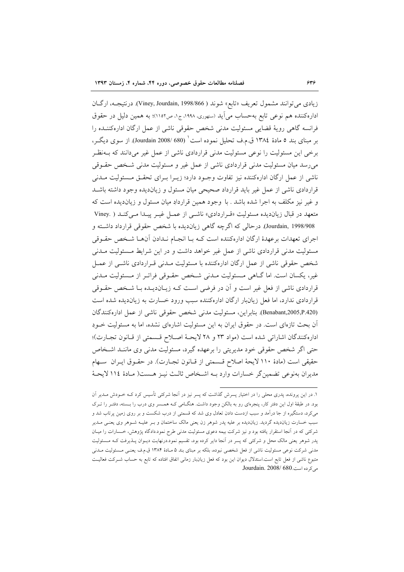زيادي مي توانند مشمول تعريف «تابع» شوند ( Viney, Jourdain, 1998/866). درنتيجـه، ارگـان ادارهکننده هم نوعی تابع بهحساب می آید (سنهوری، ۱۹۹۸، ج۱، ص۱۱۰۲)؛ به همین دلیل در حقوق فرانسه گاهی رویهٔ قضایی مسئولیت مدنی شخص حقوقی ناشی از عمل ارگان ادارهکننـده را بر مبنای بند ٥ مادهٔ ١٣٨٤ ق.م.ف تحليل نموده است` (580 /Jourdain 2008). از سوی ديگـر، برخی این مسئولیت را نوعی مسئولیت مدنی قراردادی ناشی از عمل غیر میدانند که بــهنظـر میرسد میان مسئولیت مدنی قراردادی ناشی از عمل غیر و مسئولیت مدنی شخص حقـوقی ناشی از عمل ارگان ادارهکننده نیز تفاوت وجـود دارد؛ زیــرا بــرای تحقــق مــسئولیت مــدنی قراردادی ناشی از عمل غیر باید قرارداد صحیحی میان مسئول و زیاندیده وجود داشته باشـد و غیر نیز مکلف به اجرا شده باشد . با وجود همین قراردادِ میان مسئول و زیاندیده است که متعهد در قبال زیاندیده مسئولیت «قـراردادی» ناشـی از عمـل غیـر پیـدا مـی کنـد ( .Viney Jourdain, 1998/908). درحالي كه اگرچه گاهي زيانديده با شخص حقوقي قرارداد داشته و اجرای تعهدات برعهدهٔ ارگان ادارهکننده است کـه بـا انجـام نـدادن أنهـا شـخص حقــوقى مسئولیت مدنی قراردادی ناشی از عمل غیر خواهد داشت و در این شرایط مسئولیت مـدنی شخص حقوقی ناشی از عمل ارگان ادارهکننده با مسئولیت مـدنی قـراردادی ناشـی از عمـل غیر، یکسان است. اما گـاهی مـسئولیت مـدنی شـخص حقـوقی فراتـر از مـسئولیت مـدنی قراردادی ناشی از فعل غیر است و آن در فرضی است کـه زیــان‹دیــده بــا شــخص حقــوقی قراردادی ندارد، اما فعل زیانبار ارگان ادارهکننده سبب ورود خسارت به زیاندیده شده است (Benabant,2005,P.420). بنابراين، مسئوليت مدنى شخص حقوقى ناشى از عمل ادارهكنندگان آن بحث تازهای است. در حقوق ایران به این مسئولیت اشارهای نشده، اما به مسئولیت خـودِ اداره كنندگان اشاراتي شده است (مواد ٢٣ و ٢٨ لايحـة اصـلاح قـسمتي از قـانون تجـارت)؛ حتى اگر شخص حقوقي خود مديريتي را برعهده گيرد، مسئوليت مدني وي ماننـد اشـخاص حقيقى است (مادة ١١٠ لايحة اصلاح قـسمتى از قـانون تجـارت). در حقـوق ايـران سـهام مديران بهنوعي تضمين گر خسارات وارد بـه اشـخاص ثالـث نيـز هـست( مـادهٔ ١١٤ لايحـهٔ

۱. در این پرونده، پدری محلی را در اختیار پسرش گذاشت که پسر نیز در آنجا شرکتی تأسیس کرد کـه خـودش مـدیر آن بود. در طبقهٔ اول این دفتر کار، پنجرهای رو به بالکن وجود داشت. هنگLمی کـه همــسر وی درب را بـسته، دفتـر را تـرک می کرد، دستگیره از جا درآمد و سبب ازدست دادن تعادل وی شد که قسمتی از درب شکست و بر روی زمین پرتاب شد و سبب خسارت زیاندیده گردید. زیاندیده بر علیه پدر شوهر زن یعنی مالک ساختمان و بـر علیـه شـوهر وی یعنــی مـدیر شرکتی که در آنجا استقرار یافته بود و نیز شرکت بیمه دعوی مسئولیت مدنی طرح نمود.دادگاه پژوهش، خسارات را میـان پدر شوهر یعنی مالک محل و شرکتی که پسر در انجا دایر کرده بود، تقسیم نمود.درنهایت دیــوان پــذیرفت کــه مــسئولیت مدنی شرکت نوعی مسئولیت ناشی از فعل شخصی نبوده، بلکه بر مبنای بند ۵ مـادهٔ ۱۳۸۴ ق.م.ف یعنـی مـسئولیت مــدنی متبوع ناشی از فعل تابع است.استدلال دیوان این بود که فعل زیانبار زمانی اتفاق افتاده که تابع به حساب شـرکت فعالیـت می کردہ است.680 /Jourdain. 2008.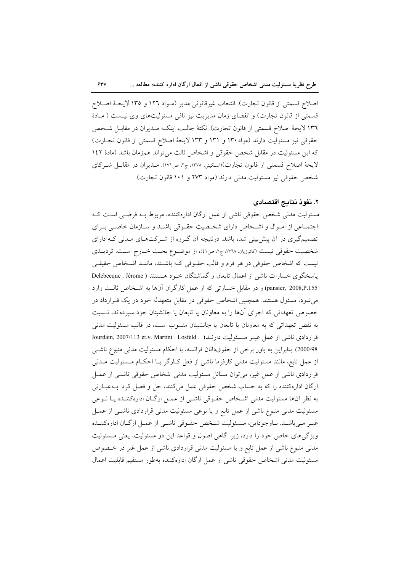اصلاح قسمتي از قانون تجارت). انتخاب غيرقانوني مدير (مـواد ١٢٦ و ١٣٥ لايحــهٔ اصـلاح قسمتی از قانون تجارت) و انقضای زمان مدیریت نیز نافی مسئولیتهای وی نیست ( مادهٔ ١٣٦ لايحة اصلاح قسمتي از قانون تجارت). نكتة جالب اينكـه مـديران در مقابـل شـخص حقوقی نیز مسئولیت دارند (مواد ۱۳۰ و ۱۳۱ و ۱۳۳ لایحهٔ اصلاح قسمتی از قانون تجـارت) كه اين مسئوليت در مقابل شخص حقوقى و اشخاص ثالث مى تواند همزمان باشد (مادة ١٤٢ لايحهٔ اصلاح قسمتي از قانون تجارت)(اسكيني، ١٣٧٨، ج٢، ص١٧١). مـديران در مقابـل شـركاي شخص حقوقی نیز مسئولیت مدنی دارند (مواد ۲۷۳ و ۱۰۱ قانون تجارت).

## ٢. نفوذ نتايج اقتصادى

مسئولیت مدنی شخص حقوقی ناشی از عمل ارگان ادارهکننده، مربوط بـه فرضـی اسـت کـه اجتمـاعی از امـوال و اشـخاص دارای شخـصیت حقـوقی باشـد و سـازمان خاصـی بـرای تصمیمگیری در آن پیش بینی شده باشد. درنتیجه آن گـروه از شـرکتهـای مـدنی کـه دارای شخصیت حقوقی نیست (کاتوزیان، ١٣٦٨، ج٢، ص٤١)، از موضـوع بحـث خــارج اســت. تردیــلـى نیست که اشخاص حقوقی در هر فرم و قالب حقـوقی کـه باشـند، ماننـد اشـخاص حقیقـی پاسخگوی خسارات ناشی از اعمال تابعان و گماشتگان خـود هـستند ( Delebecque . Jérome pansier, 2008,P.155) و در مقابل خسارتی که از عمل کارگران آنها به اشـخاص ثالـث وارد می شود، مسئول هستند. همچنین اشخاص حقوقی در مقابل متعهدله خود در یک قـرارداد در خصوص تعهداتی که اجرای آنها را به معاونان یا تابعان یا جانشینان خود سپردهاند، نـسبت به نقض تعهداتی که به معاونان یا تابعان یا جانشینان منسوب است، در قالب مسئولیت مدنی قراردادی ناشی از عمل غیـر مـسئولیت دارنـد( . Jourdain, 2007/113 et.v. Martini . Losfeld 000/98). بنابراین به باور برخی از حقوقدانان فرانسه، با احکام مسئولیت مدنی متبوع ناشی از عمل تابع، مانند مسئولیت مدنی کارفرما ناشی از فعل کـارگر یـا احکـام مـسئولیت مــدنی قراردادی ناشی از عمل غیر، می توان مسائل مسئولیت مدنی اشخاص حقوقی ناشـی از عمـل ارگان ادارهکننده را که به حساب شخص حقوقی عمل میکنند، حل و فصل کرد. بــهعبــارتی به نظر آنها مسئولیت مدنی اشـخاص حقـوقی ناشـی از عمـل ارگـان ادارهکننـده یـا نـوعی مسئولیت مدنی متبوع ناشی از عمل تابع و یا نوعی مسئولیت مدنی قراردادی ناشـی از عمـل غيـر مـي باشـد. بـاوجوداين، مـسئوليت شـخص حقـوقي ناشـي از عمـل ارگـان ادارهكننـده ویژگیهای خاص خود را دارد، زیرا گاهی اصول و قواعد این دو مسئولیت، یعنی مسئولیت مدنی متبوع ناشی از عمل تابع و یا مسئولیت مدنی قراردادی ناشی از عمل غیر در خـصوص مسئوليت مدنى اشخاص حقوقى ناشى از عمل ارگان ادارەكننده بەطور مستقيم قابليت اعمال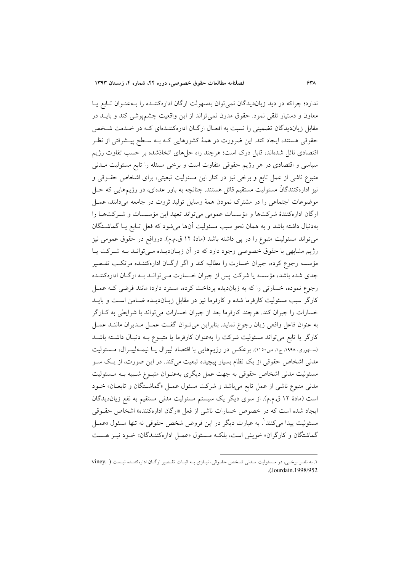ندارد؛ چراکه در دید زیاندیدگان نمی توان بهسهولت ارگان ادارهکننـده را بـهعنـوان تـابع يـا معاون و دستیار تلقی نمود. حقوق مدرن نمی تواند از این واقعیت چشمپوشی کند و بایــد در مقابل زیاندیدگان تضمینی را نسبت به افعـال ارگـان ادارهکننـدهای کـه در خـدمت شـخص حقوقی هستند، ایجاد کند. این ضرورت در همهٔ کشورهایی کـه بـه سـطح پیــشرفتی از نظـر اقتصادی نائل شدهاند، قابل درک است؛ هرچند راه حلهای اتخاذشده بر حسب تفاوت رژیم سیاسی و اقتصادی در هر رژیم حقوقی متفاوت است و برخی مسئله را تابع مسئولیت مـدنی متبوع ناشی از عمل تابع و برخی نیز در کنار این مسئولیت تبعیتی، برای اشخاص حقـوقی و نیز ادارهکنندگانْ مسئولیت مستقیم قائل هستند. چنانچه به باور عدمای، در رژیمهایی که حـل موضوعات اجتماعی را در مشترک نمودن همهٔ وسایل تولید ثروت در جامعه میدانند، عمـل ارگان ادارهکنندهٔ شرکتها و مؤسسات عمومی می تواند تعهد این مؤسسات و شـرکتهـا را بهدنبال داشته باشد و به همان نحو سبب مسئوليت آنها مى شود كه فعل تـابع يـا گماشــتگان میتواند مسئولیت متبوع را در پی داشته باشد (مادهٔ ۱۲ ق.م.م). درواقع در حقوق عمومی نیز رژیم مشابهی با حقوق خصوصی وجود دارد که در آن زیـاندیـده مـیتوانـد بـه شـرکت یـا مؤسسه رجوع کرده، جبران خسارت را مطالبه کند و اگر ارگـان ادارهکننــده مرتکـب تقــصیر جدی شده باشد، مؤسسه یا شرکت پس از جبران خـسارت مـی توانـد بـه ارگـان ادارهکننـده رجوع نموده، خسارتی را که به زیاندیده پرداخت کرده، مسترد دارد؛ مانند فرضی کـه عمـل کارگر سبب مسئولیت کارفرما شده و کارفرما نیز در مقابل زیـاندیـده ضـامن اسـت و بایــد خسارات را جبران كند. هرچند كارفرما بعد از جبران خسارات مىتواند با شرايطى به كـارگر به عنوان فاعل واقعی زیان رجوع نماید. بنابراین می تـوان گفـت عمـل مـدیران ماننـد عمـل کارگر یا تابع میتواند مسئولیت شرکت را بهعنوان کارفرما یا متبـوع بـه دنبـال داشـته باشـد (سنهوري، ١٩٩٨، ج١، ص١١٥٠). برعكس در رژيمهايي با اقتصاد ليبرال يـا نيمـهليبـرال، مـسئوليت مدنی اشخاص حقوقی از یک نظام بسیار پیچیده تبعیت میکند. در این صورت، از یک سـو مسئولیت مدنی اشخاص حقوقی به جهت عمل دیگری بهعنـوان متبـوع شـبیه بـه مـسئولیت مدنی متبوع ناشی از عمل تابع می باشد و شرکت مسئول عمـل «گماشـتگان و تابعـان» خـود است (مادهٔ ۱۲ ق.م.م). از سوی دیگر یک سیستم مسئولیت مدنی مستقیم به نفع زیاندیدگان ایجاد شده است که در خصوص خسارات ناشی از فعل «ارگان ادارهکننده» اشخاص حقوقی مسئوليت پيدا مي كنند <sup>١</sup>. به عبارت ديگر در اين فروض شخص حقوقي نه تنها مسئول «عمــل گماشتگان و کارگران» خویش است، بلکـه مـسئول «عمـل ادارهکننـدگان» خـود نیـز هـست

١. به نظر برخي، در مسئوليت مدني شخص حقوقي، نيازي بـه اثبـات تقصير اركـان ادارهكننـده نيـست ( .viney .(Jourdain.1998/952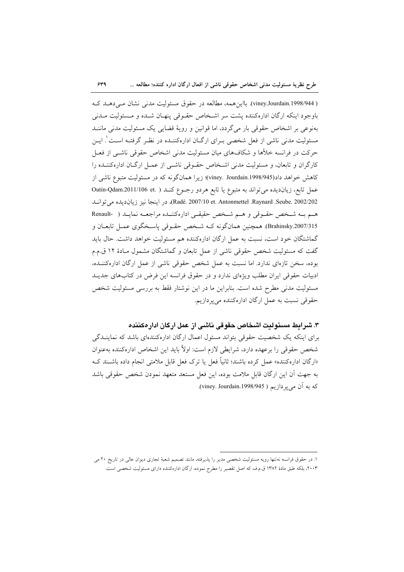$549$ 

( viney.Jourdain.1998/944). بااین همه، مطالعه در حقوق مسئولیت مدنی نشان مے دهـد کـه باوجود اینکه ارگان ادارهکننده یشت سر اشـخاص حقـوقی پنهـان شـده و مـسئولیت مـدنی بهنوعی بر اشخاص حقوقی بار میگردد، اما قوانین و رویهٔ قضایی یک مسئولیت مدنی ماننــد مسئولیت مدنی ناشی از فعل شخصی بـرای ارگــان ادارهکننــده در نظـر گرفتــه اســت ٰ ایــن حرکت در فرانسه خلأها و شکافهای میان مسئولیت مدنی اشخاص حقوقی ناشبی از فعـل کارگران و تابعان، و مسئولیت مدنی اشـخاص حقـوقی ناشـی از عمـل ارگـان ادارهکننــده را كاهش خواهد داد(viney. Jourdain.1998/945)؛ زيرا همانگونه كه در مسئوليت متبوع ناشي از عمل تابع، زیاندیده می تواند به متبوع یا تابع هردو رجـوع کنـد ( .Outin-Qdam.2011/106 et Radé. 2007/10 et. Antonmettel .Raynard .Seube. 2002/202)، در اينجا نيز زيانديده مي توانيد هم به شخص حقوقی و هم شخص حقیقی ادارهکننده مراجعه نمایید ( -Renault Brahinsky.2007/315). همچنین همانگونه کـه شـخص حقـوقی یاسـخگوی عمـل تابعـان و گماشتگان خود است، نسبت به عمل ارگان ادارهکننده هم مسئولیت خواهد داشت. حال باید گفت که مسئولیت شخص حقوقی ناشی از عمل تابعان و گماشتگان مشمول مـادهٔ ۱۲ ق.م.م بوده، سخن تازهای ندارد. اما نسبت به عمل شخص حقوقی ناشی از عمل ارگان ادارهکننـده، ادبیات حقوقی ایران مطلب ویژهای ندارد و در حقوق فرانسه این فرض در کتابهای جدیـد مسئولیت مدنی مطرح شده است. بنابراین ما در این نوشتار فقط به بررسی مسئولیت شخص حقوقی نسبت به عمل ارگان ادارهکننده میپردازیم.

# ٣. شرايط مسئوليت اشخاص حقوقي ناشي از عمل اركان ادار مكننده

برای اینکه یک شخصیت حقوقی بتواند مسئول اعمال ارگان ادارهکنندهای باشد که نماینـدگی شخص حقوقی را برعهده دارد، شرایطی لازم است: اولاً باید این اشخاص ادارهکننده بهعنوان «ارگان ادارهکننده» عمل کرده باشند؛ ثانیاً فعل یا ترک فعل قابل ملامتی انجام داده باشـند کـه به جهت آن این ارگان قابل ملامت بوده، این فعل مستعد متعهد نمودن شخص حقوقی باشد كه به آن مي يردازيم ( viney. Jourdain.1998/945).

١. در حقوق فرانسه نه تنها رويه مسئوليت شخصي مدير را پذيرفته، مانند تصميم شعبهٔ تجارى ديوان عالى در تاريخ ٢٠ مي ۲۰۰۳، بلکه طبق مادهٔ ۱۳۸۲ ق.م.ف که اصل تقصیر را مطرح نموده، ارگان ادارهکننده دارای مسئولیت شخصی است.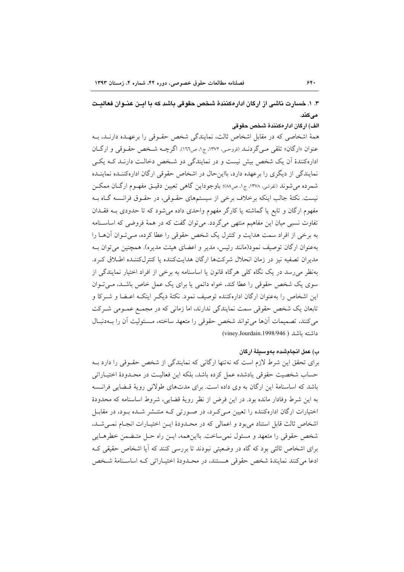۳. ۱. خسارت ناشی از ارگان ادار هکنندهٔ شخص حقوقی باشد که با اسن عنــوان فعالست مے کند.

الف) اركان ادار مكنندة شخص حقوقي

همهٔ اشخاصی که در مقابل اشخاص ثالث، نمایندگی شخص حقـوقی را برعهـده دارنـد، بـه عنوان «ارگان» تلقی مبی گردنـد (<sub>فروحـی</sub>، ۱۳۷۲، ج۱، ص۱٦٦). اگرچــه شـخص حقـوقی و ارگــان ادارهکنندهٔ آن یک شخص بیش نیست و در نمایندگی دو شـخص دخالـت دارنـد کـه یکـی نمایندگی از دیگری را برعهده دارد، بااینحال در اشخاص حقوقی ارگان ادارهکننـده نماینـده شمرده می شوند (تفرشی، ۱۳۷۸، ج۱، ص۸۸)؛ باوجوداین گاهی تعیین دقیـق مفهـوم ارگــان ممكــن نیست. نکتهٔ جالب اینکه برخلاف برخی از سیستمهای حقـوقی، در حقـوق فرانـسه گـاه بـه مفهوم ارگان و تابع یا گماشته یا کارگر مفهوم واحدی داده می شود که تا حدودی بـه فقـدان تفاوت نسبی میان این مفاهیم منتهی میگردد. می توان گفت که در همهٔ فروضی که اساسـنامه به برخی از افراد سمت هدایت و کنترل یک شخص حقوقی را عطا کرده، مے تبوان آنهـا را بهعنوان ارگان توصیف نمود(مانند رئیس، مدیر و اعضای هیئت مدیره). همچنین می توان بـه مدیران تصفیه نیز در زمان انحلال شرکتها ارگان هدایتکننده یا کنترلکننده اطلاق کرد. بهنظر می رسد در یک نگاه کلی هرگاه قانون یا اساسنامه به برخی از افراد اختیار نمایندگی از سوی یک شخص حقوقی را عطا کند، خواه دائمی یا برای یک عمل خاص باشـد، مـی تـوان این اشخاص را بهعنوان ارگان ادارهکننده توصیف نمود. نکتهٔ دیگـر اینکـه اعـضا و شـرکا و تابعان یک شخص حقوقی سمت نمایندگی ندارند، اما زمانی که در مجمع عمـومی شـرکت مى كنند، تصميمات أنها مى تواند شخص حقوقى را متعهد ساخته، مـسئوليت أن را بــهدنبـال داشته باشد ( viney.Jourdain.1998/946)

### ب) عمل انجامشده بهوسيلةً اركان

برای تحقق این شرط لازم است که نهتنها ارگانی که نمایندگی از شخص حقـوقی را دارد بـه حساب شخصیت حقوقی یادشده عمل کرده باشد، بلکه این فعالیت در محـدودهٔ اختیـاراتی باشد که اساسنامهٔ این ارگان به وی داده است. برای مدتهای طولانی رویهٔ قـضایی فرانـسه به این شرط وفادار مانده بود. در این فرض از نظر رویهٔ قضایی، شروط اساسنامه که محدودهٔ اختیارات ارگان ادارهکننده را تعیین مےکرد، در صورتی که منتـشر شـده بـود، در مقابـل اشخاص ثالث قابل استناد مى بود و اعمالى كه در محـدودهٔ ايــن اختيـارات انجـام نمـى شـد، شخص حقوقي را متعهد و مسئول نمي ساخت. بااين همه، ايـن راه حـل متـضمن خطرهــايي برای اشخاص ثالثی بود که گاه در وضعیتی نبودند تا بررسی کنند که آیا اشخاص حقیقی ک ادعا می کنند نمایندهٔ شخص حقوقی هستند، در محبدودهٔ اختیباراتی کیه اساسینامهٔ شیخص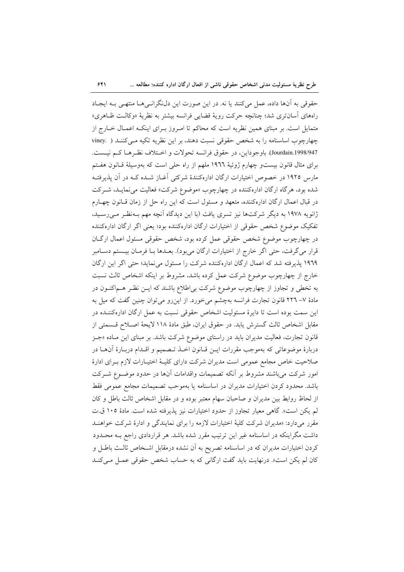حقوقی به آنها داده، عمل می کنند یا نه. در این صورت این دلنگرانسیها منتهی بـه ایجـاد راههاي اسان ترى شد؛ چنانچه حركت رويهٔ قضايي فرانسه بيشتر به نظريهٔ «وكالـت ظـاهري» متمایل است. بر مبنای همین نظریه است که محاکم تا امـروز بـرای اینکـه اعمـال خـارج از چهارچوب اساسنامه را به شخص حقوقی نسبت دهند، بر این نظریه تکیه مـیکننـد ( .viney Jourdain.1998/947). باوجوداین، در حقوق فرانسه تحولات و اختلاف نظرهـا کـم نیـست. برای مثال قانون بیستو چهارم ژوئیهٔ ۱۹۲۲ ملهم از راه حلی است که بهوسیلهٔ قـانون هفـتم مارس ۱۹۲۵ در خصوص اختیارات ارگان ادارهکنندهٔ شرکتی آغـاز شـده کـه در آن پذیرفتـه شده بود، هرگاه ارگان ادارهکننده در چهارچوب «موضوع شرکت» فعالیت می نمایـد، شـرکت در قبال اعمال ارگان ادارهکننده، متعهد و مسئول است که این راه حل از زمان قـانون چهـارم ژانویه ۱۹۷۸ به دیگر شرکتها نیز تسری یافت (با این دیدگاه آنچه مهم بـهنظـر مـی(سـید، تفکیک موضوع شخص حقوقی از اختیارات ارگان ادارهکننده بود؛ یعنی اگر ارگان ادارهکننده در چهارچوب موضوع شخص حقوقی عمل کرده بود، شخص حقوقی مسئول اعمال ارگــان قرار میگرفت، حتی اگر خارج از اختیارات ارگان میبود). بعـدها بـا فرمـان بیـستم دسـامبر ۱۹٦۹ پذیرفته شد که اعمال ارگان ادارهکننده شرکت را مسئول می نماید؛ حتی اگر این ارگان خارج از چهارچوب موضوع شرکت عمل کرده باشد، مشروط بر اینکه اشخاص ثالث نسبت به تخطی و تجاوز از چهارچوب موضوع شرکت بی|طلاع باشند که ایــن نظــر هــم|کنــون در مادهٔ ۷– ۲۲٦ قانون تجارت فرانسه بهچشم میخورد. از این رو میتوان چنین گفت که میل به این سمت بوده است تا دایرهٔ مسئولیت اشخاص حقوقی نسبت به عمل ارگان ادارهکننــده در مقابل اشخاص ثالث گسترش يابد. در حقوق ايران، طبق مادهٔ ۱۱۸ لايحهٔ اصـلاح قـسمتى از قانون تجارت، فعالیت مدیران باید در راستای موضوع شرکت باشد. بر مبنای این مـاده «جــز دربارهٔ موضوعاتی که بهموجب مقررات ایــن قــانون اخــذ تــصميم و اقــدام دربــارهٔ آنهــا در صلاحیت خاص مجامع عمومی است مدیران شرکت دارای کلیـهٔ اختیـارات لازم بـرای ادارهٔ امور شرکت میباشند مشروط بر آنکه تصمیمات واقدامات آنها در حدود موضـوع شـرکت باشد. محدود کردن اختیارات مدیران در اساسنامه یا بهموحب تصمیمات مجامع عمومی فقط از لحاظ روابط بین مدیران و صاحبان سهام معتبر بوده و در مقابل اشخاص ثالث باطل و کان لم يكن است». گاهي معيار تجاوز از حدود اختيارات نيز پذيرفته شده است. مادهٔ ١٠٥ ق.ت مقرر می دارد: «مدیران شرکت کلیهٔ اختیارات لازمه را برای نمایندگی و ادارهٔ شرکت خواهنــد داشت مگراینکه در اساسنامه غیر این ترتیب مقرر شده باشد. هر قراردادی راجع بـه محــدود کردن اختیارات مدیران که در اساسنامه تصریح به آن نشده درمقابل اشـخاص ثالـث باطـل و کان لم یکن است». درنهایت باید گفت ارگانی که به حساب شخص حقوقی عمـل مـیکنـد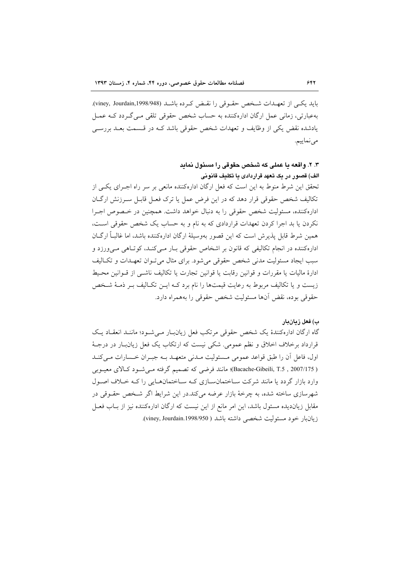باید یکبی از تعهـدات شـخص حقـوقی را نقـض کـرده باشـد (viney, Jourdain,1998/948). بهعبارتی، زمانی عمل ارگان ادارهکننده به حساب شخص حقوقی تلقی مبی گیردد کـه عمـل یادشده نقض یکی از وظایف و تعهدات شخص حقوقی باشد کـه در قـسمت بعـد بررسـی مي نماييم.

## ۳. ۲. واقعه یا عملی که شخص حقوقی را مسئول نماید الف) قصور در یک تعهد قراردادی یا تکلیف قانونی

تحقق این شرط منوط به این است که فعل ارگان ادارهکننده مانعی بر سر راه اجـرای یکـی از تکالیف شخص حقوقی قرار دهد که در این فرض عمل یا ترک فعـل قابـل سـرزنش ارگــان ادارهکننده، مسئولیت شخص حقوقی را به دنبال خواهد داشت. همچنین در خـصوص اجـرا نکردن یا بد اجرا کردن تعهدات قراردادی که به نام و به حساب یک شخص حقوقی است، همین شرط قابل پذیرش است که این قصور بهوسیلهٔ ارگان ادارهکننده باشد، اما غالباً ارگــان ادارهکننده در انجام تکالیفی که قانون بر اشخاص حقوقی بـار مـیکنـد، کوتـاهی مـیورزد و سبب ایجاد مسئولیت مدنی شخص حقوقی می شود. برای مثال می توان تعهـدات و تکـالیف ادارهٔ مالیات یا مقررات و قوانین رقابت یا قوانین تجارت یا تکالیف ناشـی از قــوانین محـیط زیست و یا تکالیف مربوط به رعایت قیمتها را نام برد کـه ایــن تکـالیف بــر ذمــهٔ شــخص حقوقي بوده، نقض أنها مسئوليت شخص حقوقي را بههمراه دارد.

#### ب) فعل زيانبار

گاه ارگان ادارهکنندهٔ یک شخص حقوقی مرتکب فعل زیانبار می شـود؛ ماننـد انعقـاد یـک قرارداد برخلاف اخلاق و نظم عمومی. شکی نیست که ارتکاب یک فعل زیان بار در درجـهٔ اول، فاعل أن را طبق قواعد عمومي مـسئوليت مـدني متعهـد بــه جبـران خـسارات مــيكنــد ( Bacache-Gibeili, T.5 , 2007/175)؛ مانند فرضی که تصمیم گرفته می شود کـالای معیـوبی وارد بازار گردد یا مانند شرکت سـاختمانسـازی کـه سـاختمانهـایی را کـه خـلاف اصـول شهرسازی ساخته شده، به چرخهٔ بازار عرضه میکند.در این شرایط اگر شـخص حقـوقی در مقابل زیاندیده مسئول باشد، این امر مانع از این نیست که ارگان ادارهکننده نیز از بـاب فعـل زيانبار خود مسئوليت شخصي داشته باشد ( viney, Jourdain.1998/950).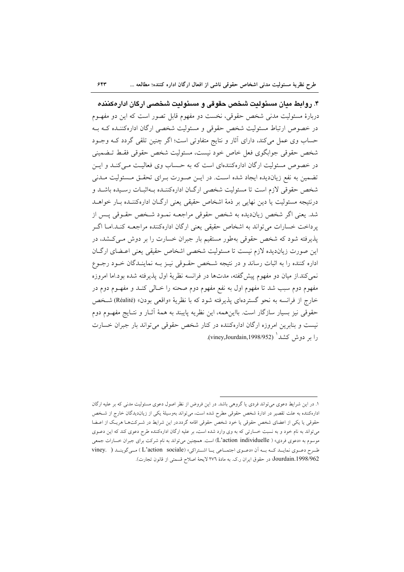$55$ 

۴. روابط مبان مسئولیت شخص حقوقی و مسئولیت شخصبی ارکان ادارهکننده دربارهٔ مسئولیت مدنی شخص حقوقی، نخست دو مفهوم قابل تصور است که این دو مفهـوم در خصوص ارتباط مسئولیت شخص حقوقی و مسئولیت شخصی ارگان ادارهکننـده کـه بـه حساب وی عمل میکند، دارای آثار و نتایج متفاوتی است؛ اگر چنین تلقی گردد کـه وجـود شخص حقوقي جوابگوي فعل خاص خود نيست، مسئوليت شخص حقوقي فقـط تـضميني در خصوص مسئولیت ارگان ادارهکنندهای است که به حساب وی فعالیت مے کنـد و ایــن تضمین به نفع زیاندیده ایجاد شده است. در ایـن صـورت بـرای تحقـق مـسئولیت مـدنی شخص حقوقي لازم است تا مسئوليت شخصي ارگيان ادارهكننــده بــهاثبــات رســيده باشــد و درنتيجه مسئوليت يا دين نهايي بر ذمهٔ اشخاص حقيقي يعني ارگــان ادارهکننــده بــار خواهــد شد. يعني اگر شخص زيانديده به شخص حقوقي مراجعـه نمـود شـخص حقـوقي پـس از یرداخت خسارات می تواند به اشخاص حقیقی یعنی ارگان ادارهکننده مراجعـه کنـد.امـا اگـر پذیرفته شود که شخص حقوقی بهطور مستقیم بار جبران خسارت را بر دوش مـیکشد، در این صورت زیاندیده لازم نیست تا مسئولیت شخصی اشخاص حقیقی یعنی اعـضای ارگـان اداره کننده را به اثبات رساند و در نتیجه شـخص حقـوقی نیـز بـه نماینـدگان خـود رجـوع نمی کند.از میان دو مفهوم پیش گفته، مدتها در فرانسه نظریهٔ اول پذیرفته شده بود.اما امروزه مفهوم دوم سبب شد تا مفهوم اول به نفع مفهوم دوم صحنه را خــالـي کنــد و مفهــوم دوم در خارج از فرانسه به نحو گستردهای پذیرفته شود که با نظریهٔ «واقعی بودن» (Réalité) شـخص حقوقی نیز بسیار سازگار است. بااینهمه، این نظریه پایبند به همهٔ أثـار و نتـایج مفهــوم دوم نیست و بنابرین امروزه ارگان ادارهکننده در کنار شخص حقوقی میتواند بار جبران خسارت را بر دوش کشد<sup>ا</sup> (viney,Jourdain,1998/952).

۱. در این شرایط دعوی میتواند فردی یا گروهی باشد. در این فروض از نظر اصول دعوی مسئولیت مدنی که بر علیه ارگان ادارهکننده به علت تقصیر در ادارهٔ شخص حقوقی مطرح شده است، میتواند بهوسیلهٔ یکی از زیان‹دیدگان خارج از شـخص حقوقی یا یکی از اعضای شخص حقوقی یا خود شخص حقوقی اقامه گردد.در این شرایط در شـرکتهـا هریـک از اعـضا می تواند به نام خود و به نسبت خسارتی که به وی وارد شده است، بر علیه ارگان ادارهکننده طرح دعوی کند که این دعــوی موسوم به «دعوی فردی» ( L'action individuelle) است. همچنین می تواند به نام شرکت برای جبران خسارات جمعی طرح دعـوى نمايـد كـه بـه أن «دعـوى اجتمـاعى يـا اشـتراكى» (L'action sociale) مـى گوينـد ( . viney. Jourdain.1998/962؛ در حقوق ايران ر.ک. به مادهٔ ٢٧٦ لايحهٔ اصلاح قسمتي از قانون تجارت).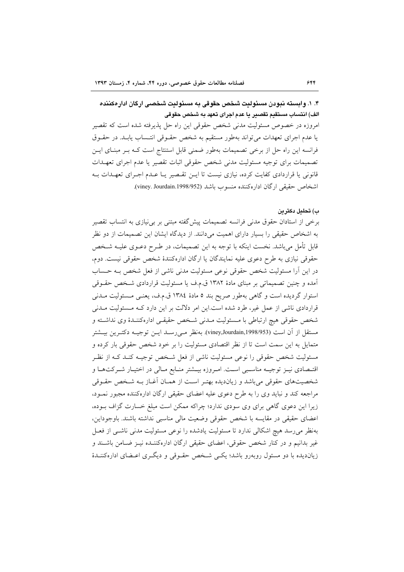۴. ۱. وابسته نبودن مسئولت شخص حقوقی به مسئولت شخصی ارگان ادار هکننده الف) انتساب مستقيم تقصير يا عدم اجراى تعهد به شخص حقوقى

امروزه در خصوص مسئولیت مدنی شخص حقوقی این راه حل پذیرفته شده است که تقصیر یا عدم اجرای تعهدات می تواند بهطور مستقیم به شخص حقـوقی انتـساب یابـد. در حقـوق فرانسه این راه حل از برخی تصمیمات بهطور ضمنی قابل استنتاج است کـه بـر مبنـای ایـن تصميمات براي توجيه مسئوليت مدنى شخص حقوقي اثبات تقصير يا عدم اجراي تعهـدات قانونی یا قراردادی کفایت کرده، نیازی نیست تا ایـن تقـصیر یـا عـدم اجـرای تعهـدات بـه اشخاص حقیقی ارگان ادارهکننده منسوب باشد (viney. Jourdain.1998/952).

#### ب) تحليل دكترين

برخی از استادان حقوق مدنی فرانسه تصمیمات پیش گفته مبتنی بر بی نیازی به انتساب تقصیر به اشخاص حقیقی را بسیار دارای اهمیت می دانند. از دیدگاه ایشان این تصمیمات از دو نظر قابل تأمل می باشد. نخست اینکه با توجه به این تصمیمات، در طـرح دعــوی علیــه شــخص حقوقي نيازي به طرح دعوي عليه نمايندگان يا ارگان ادارهکنندۀ شخص حقوقي نيست. دوم، در این آرا مسئولیت شخص حقوقی نوعی مسئولیت مدنی ناشی از فعل شخص بـه حـساب آمده و چنین تصمیماتی بر مبنای مادهٔ ۱۳۸۲ ق.م.ف یا مسئولیت قراردادی شـخص حقــوقی استوار گردیده است و گاهی بهطور صریح بند ٥ مادهٔ ١٣٨٤ ق.م.ف، یعنـی مـسئولیت مـدنی قراردادی ناشی از عمل غیر، طرد شده است.این امر دلالت بر این دارد کـه مـسئولیت مـدنی شخص حقوقی هیچ ارتباطی با مـسئولیت مـدنی شـخص حقیقـی ادارهکننـدۀ وی نداشـته و مستقل از آن است (1998/953)xviney,Jourdain,1998). بهنظر می رسـد ایــن توجیــه دکتـرین بیــشتر متمایل به این سمت است تا از نظر اقتصادی مسئولیت را بر خود شخص حقوقی بار کرده و مسئولیت شخص حقوقی را نوعی مسئولیت ناشی از فعل شخص توجیـه کنـد کـه از نظـر اقتـصادی نیــز توجیــه مناســبی اســت. امــروزه بیــشتر منــابع مــالی در اختیــار شــرکتهــا و شخصیتهای حقوقی می باشد و زیاندیده بهتـر اسـت از همـان آغـاز بـه شـخص حقـوقی مراجعه کند و نباید وی را به طرح دعوی علیه اعضای حقیقی ارگان ادارهکننده مجبور نمـود، زیرا این دعوی گاهی برای وی سودی ندارد؛ چراکه ممکن است مبلغ خسارت گزاف بـوده، اعضاى حقيقى در مقايسه با شخص حقوقى وضعيت مالى مناسبي نداشته باشند. باوجوداين، بهنظر می رسد هیچ اشکالی ندارد تا مسئولیت یادشده را نوعی مسئولیت مدنی ناشبی از فعـل غیر بدانیم و در کنار شخص حقوقی، اعضای حقیقی ارگان ادارهکننـده نیـز ضـامن باشـند و زیاندیده با دو مسئول روبهرو باشد؛ یکسی شخص حقـوقی و دیگـری اعـضای ادارهکننـدهٔ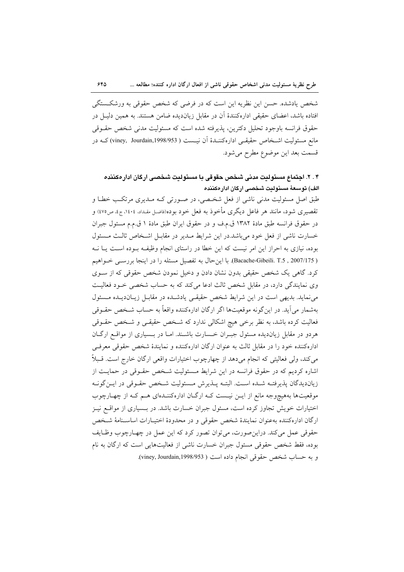شخص یادشده. حسن این نظریه این است که در فرضی که شخص حقوقی به ورشکستگی افتاده باشد، اعضای حقیقی ادارهکنندهٔ آن در مقابل زیاندیده ضامن هستند. به همین دلیـل در حقوق فرانسه باوجود تحليل دكترين، پذيرفته شده است كه مسئوليت مدنى شخص حقــوقى مانع مسئوليت اشـخاص حقيقـي ادارهكننـدۀ آن نيــست ( 1998/953) viney, Jourdain,1998/953) كــه در قسمت بعد اين موضوع مطرح مي شود.

# ۰۴ . ۲. اجتماع مسئولیت مدنی شخص حقوقی با مسئولیت شخصبی ارگان ادار مکننده الف) توسعهٔ مسئولیت شخصی ارگان ادار هکننده

طبق اصل مسئولیت مدنی ناشی از فعل شخصی، در صـورتی کـه مـدیری مرتکـب خطـا و تقصیری شود، مانند هر فاعل دیگری مأخوذ به فعل خود بوده(فاضل مقداد، ۱٤٠٤، ج٤، ص٤٧٥) و در حقوق فرانسه طبق مادهٔ ۱۳۸۲ ق.م.ف و در حقوق ایران طبق مادهٔ ۱ ق.م.م مسئول جبران خسارت ناشی از فعل خود می باشد.در این شرایط مـدیر در مقابـل اشـخاص ثالـث مـسئول بوده، نیازی به احراز این امر نیست که این خطا در راستای انجام وظیفـه بـوده اسـت یـا نــه ( Bacache-Gibeili. T.5 , 2007/175). با این حال به تفصیل مسئله را در اینجا بررسبی خـواهیم کرد. گاهی یک شخص حقیقی بدون نشان دادن و دخیل نمودن شخص حقوقی که از ســوی وی نمایندگی دارد، در مقابل شخص ثالث ادعا میکند که به حساب شخصی خـود فعالیـت می نماید. بدیهی است در این شرایط شخص حقیقی یادشده در مقابـل زیـاندیـده مـسئول بهشمار مي آيد. در اين گونه موقعيتها اگر ارگان ادارهکننده واقعاً به حساب شـخص حقـوقي فعالیت کرده باشد، به نظر برخی هیچ اشکالی ندارد که شخص حقیقـی و شـخص حقــوقی هردو در مقابل زیاندیده مسئول جبـران خـسارت باشـند. امـا در بـسیاری از مواقـع ارگـان ادارهکننده خود را در مقابل ثالث به عنوان ارگان ادارهکننده و نمایندهٔ شخص حقوقی معرفی میکند، ولی فعالیتی که انجام میدهد از چهارچوب اختیارات واقعی ارگان خارج است. قـبلاً اشاره کردیم که در حقوق فرانسه در این شرایط مـسئولیت شـخص حقـوقی در حمایـت از زيانديدگان پذيرفتـه شـده اسـت. البتـه پــذيرش مـسئوليت شـخص حقـوقى در ايـن گونـه موقعیتها بههیچوجه مانع از ایــن نیــست کــه ارگــان ادارهکننــدهای هــم کــه از چهــارچوب اختیارات خویش تجاوز کرده است، مسئول جبران خسارت باشد. در بـسیاری از مواقــع نیــز ارگان ادارهکننده بهعنوان نمایندهٔ شخص حقوقی و در محدودهٔ اختیـارات اساسـنامهٔ شـخص حقوقي عمل مي كند. دراين صورت، مي توان تصور كرد كه اين عمل در چهارچوب وظـايف بوده، فقط شخص حقوقی مسئول جبران خسارت ناشی از فعالیتهایی است که ارگان به نام و به حساب شخص حقوقی انجام داده است ( viney, Jourdain,1998/953).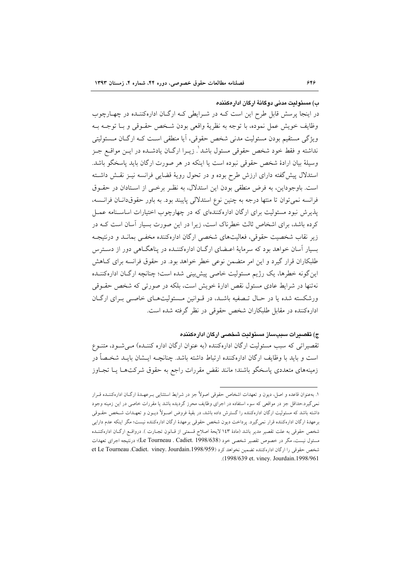#### ب) مسئولیت مدنی دوگانهٔ ارگان ادار مکننده

در اینجا پرسش قابل طرح این است کـه در شـرایطی کـه ارگـان ادارهکننـده در چهـارچوب وظايف خويش عمل نموده، با توجه به نظريهٔ واقعي بودن شـخص حقـوقي و بـا توجـه بـه ویژگی مستقیم بودن مسئولیت مدنی شخص حقوقی، آیا منطقی اسـت کـه ارگــان مــسئولیتی نداشته و فقط خود شخص حقوقی مسئول باشد'. زیــرا ارگــان یادشــده در ایــن مواقــع جــز وسيلهٔ بيان ارادهٔ شخص حقوقي نبوده است يا اينكه در هر صورت ارگان بايد پاسخگو باشد. استدلال پیش گفته دارای ارزش طرح بوده و در تحول رویهٔ قضایی فرانسه نیـز نقـش داشـته است. باوجوداین، به فرض منطقی بودن این استدلال، به نظر برخبی از استادان در حقـوق فرانسه نمی توان تا منتها درجه به چنین نوع استدلالی پایبند بود. به باور حقوقدانـان فرانـسه، پذیرش نبود مسئولیت برای ارگان ادارهکنندهای که در چهارچوب اختیارات اساسـنامه عمـل کرده باشد، برای اشخاص ثالث خطرناک است، زیرا در این صورت بسیار آسان است کـه در زیر نقاب شخصیت حقوقی، فعالیتهای شخصی ارگان ادارهکننده مخفـی بمانــد و درنتیجـه بسیار آسان خواهد بود که سرمایهٔ اعـضای ارگــان ادارهکننــده در پناهگــاهی دور از دســترس طلبکاران قرار گیرد و این امر متضمن نوعی خطر خواهد بود. در حقوق فرانسه برای کIهش این گونه خطرها، یک رژیم مسئولیت خاصی پیش بینی شده است؛ چنانچه ارگـان ادارهکننــده نهتنها در شرایط عادی مسئول نقص ادارهٔ خویش است، بلکه در صورتی که شخص حقــوقی ورشکسته شده یا در حـال تـصفیه باشـد، در قـوانین مـسئولیتهـای خاصـی بـرای ارگـان ادارهکننده در مقابل طلبکاران شخص حقوقی در نظر گرفته شده است.

### ج) تقصير ات سيبساز مسئوليت شخصي اركان ادار مكننده

تقصیراتی که سبب مسئولیت ارگان ادارهکننده (به عنوان ارگان اداره کننـده) مـی شـود، متنـوع است و باید با وظایف ارگان ادارهکننده ارتباط داشته باشد. چنانچــه ایــشان بایــد شخــصاً در زمینههای متعددی پاسخگو باشند؛ مانند نقض مقررات راجع به حقوق شرکتهـا یـا تجـاوز

١. به عنوان قاعده و اصل، ديون و تعهدات اشخاص حقوقي اصولاً جز در شرايط استثنايي بـرعهـدهٔ ارگــان ادارهكننـده قــرار نمیگیرد.حداقل جز در مواقعی که سوء استفاده در اجرای وظایف محرز گردیده باشد یا مقررات خاصی در این زمینه وجود داشته باشد که مسئولیت ارگان ادارهکننده را گسترش داده باشد، در بقیهٔ فروض اصـولاً دیـون و تعهـدات شـخص حقـوقی برعهدهٔ ارگان ادارهکننده قرار نمیگیرد. پرداخت دیون شخص حقوقی برعهدهٔ ارگان ادارهکننده نیست؛ مگر اینکه عدم دارایی شخص حقوقی به علت تقصیر مدیر باشد (مادهٔ ۱٤۳ لایحهٔ اصلاح قسمتی از قـانون تجـارت ). درواقــع ارگــان ادارهکننــده مسئول نیست، مگر در خصوص تقصیر شخصی خود (Le Tourneau . Cadiet. 1998/638)؛ درنتیجه اجرای تعهدات شخص حقوقی را اركان اداره كننده تضمين نخواهد كرد (et Le Tourneau .Cadiet. viney. Jourdain.1998/959 .(1998/639 et. viney. Jourdain.1998/961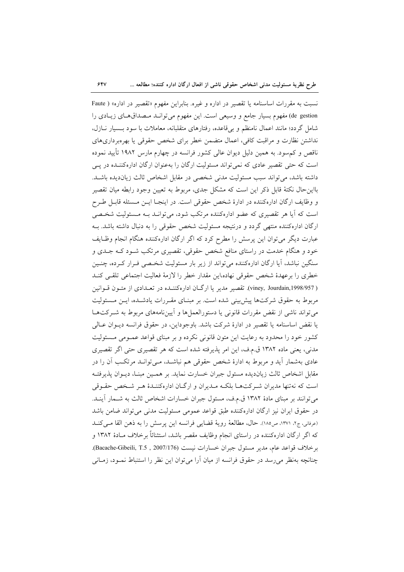$54V$ طرح نظرية مسئوليت مدنى اشخاص حقوقى ناشى از افعال ارگان اداره كننده؛ مطالعه ...

نسبت به مقررات اساسنامه یا تقصیر در اداره و غیره. بنابراین مفهوم «تقصیر در اداره» ( Faute de gestion) مفهوم بسیار جامع و وسیعی است. این مفهوم میتوانـد مـصداقهـای زیـادی را شامل گردد؛ مانند اعمال نامنظم و بر قاعده، رفتارهای متقلبانه، معاملات با سود بـسیار نــازل، نداشتن نظارت و مراقبت كافى، اعمال متضمن خطر براى شخص حقوقى يا بهرهبردارىهاى ناقص و کم سود. به همین دلیل دیوان عالمی کشور فرانسه در چهارم مارس ۱۹۸۲ تأیید نموده است که حتی تقصیر عادی که نمی تواند مسئولیت ارگان را بهعنوان ارگان ادارهکننـده در پـی داشته باشد، می تواند سبب مسئولیت مدنی شخصی در مقابل اشخاص ثالث زیاندیده باشـد. بااین حال نکتهٔ قابل ذکر این است که مشکل جدی، مربوط به تعیین وجود رابطه میان تقصیر و وظايف اركان ادارهكننده در ادارهٔ شخص حقوقی است. در اينجـا ايـن مـسئله قابـل طـرح است که آیا هر تقصیری که عضو ادارهکننده مرتکب شود، می توانـد بـه مـسئولیت شخـصی ارگان ادارهکننده منتهی گردد و درنتیجه مسئولیت شخص حقوقی را به دنبال داشته باشد. بـه عبارت دیگر میتوان این پرسش را مطرح کرد که اگر ارگان ادارهکننده هنگام انجام وظـایف خود و هنگام خدمت در راستای منافع شخص حقوقی، تقصیری مرتکب شـود کـه جــدی و سنگین نباشد، آیا ارگان ادارهکننده می تواند از زیر بار مسئولیت شخـصی فـرار کـرده، چنـین خطري را برعهدهٔ شخص حقوقي نهاده،اين مقدار خطر را لازمهٔ فعاليت اجتماعي تلقـي كنـد ( viney, Jourdain,1998/957). تقصیر مدیر یا ارگـان ادارهکننـده در تعـدادی از متـون قــوانین مربوط به حقوق شركتها پیشبینی شده است. بر مبنـای مقـررات یادشـده، ایـن مـسئولیت می تواند ناشی از نقض مقررات قانونی یا دستورالعملها و آییننامههای مربوط به شـرکتهـا يا نقض اساسنامه يا تقصير در ادارهٔ شركت باشد. باوجوداين، در حقوق فرانسه ديــوان عــالى کشور خود را محدود به رعایت این متون قانونی نکرده و بر مبنای قواعد عمـومی مـسئولیت مدنی، یعنی ماده ۱۳۸۲ ق.م.ف، این امر پذیرفته شده است که هر تقصیری حتی اگر تقصیری عادی بهشمار آید و مربوط به ادارهٔ شخص حقوقی هم نباشـد، مـی توانـد مرتکـب آن را در مقابل اشخاص ثالث زيانديده مسئول جبران خسارت نمايد. بر همـين مبنـا، ديـوان پذيرفتـه است که نهتنها مدیران شـرکتهـا بلکـه مـدیران و ارگـان ادارهکننـدۀ هـر شـخص حقـوقى می توانند بر مبنای مادهٔ ۱۳۸۲ ق.م.ف، مسئول جبران خسارات اشخاص ثالث به شــمار آینــد. در حقوق ايران نيز ارگان ادارهكننده طبق قواعد عمومي مسئوليت مدنى مي تواند ضامن باشد (عرفاني، ج٢، ١٣٧١، ص١٨٥). حال، مطالعة روية قضايي فرانسه اين پرسش را به ذهن القا مي كنـد که اگر ارگان ادارهکننده در راستای انجام وظایف مقصر باشد، استثنائاً برخلاف مـادهٔ ۱۳۸۲ و برخلاف قواعد عام، مدير مسئول جبران خسارات نيست (Bacache-Gibeili, T.5 , 2007/176). چنانچه بهنظر می رسد در حقوق فرانسه از میان آرا می توان این نظر را استنباط نمـود، زمـانی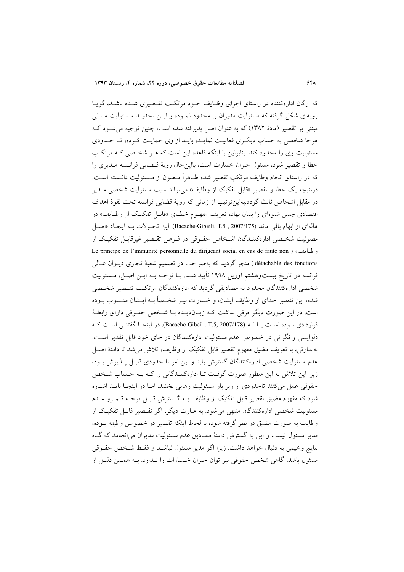که ارگان ادارهکننده در راستای اجرای وظـایف خـود مرتکـب تقـصیری شـده باشـد، گویـا رویهای شکل گرفته که مسئولیت مدیران را محدود نمـوده و ایــن تحدیــد مــسئولیت مــدنی مبتنی بر تقصیر (مادهٔ ۱۳۸۲) که به عنوان اصل پذیرفته شده است، چنین توجیه می شـود کـه هرجا شخصی به حساب دیگری فعالیت نمایـد، بایـد از وی حمایـت کـرده، تـا حـدودی مسئولیت وی را محدود کند. بنابراین با اینکه قاعده این است که هـر شخـصی کـه مرتکـب خطا و تقصیر شود، مسئول جبران خسارت است، بااین حال رویهٔ قـضایی فرانـسه مـدیری را که در راستای انجام وظایف مرتکب تقصیر شده ظـاهراً مـصون از مـسئولیت دانـسته اسـت. درنتيجه يک خطا و تقصير «قابل تفکيک از وظايف» مي تواند سبب مسئوليت شخصي مــدير در مقابل اشخاص ثالث گردد.بهاین ترتیب از زمانی که رویهٔ قضایی فرانسه تحت نفوذ اهداف اقتصادی چنین شیوهای را بنیان نهاد، تعریف مفهـوم خطـای «قابـل تفکیـک از وظـایف» در هالهاي از ابهام باقي ماند (Bacache-Gibeili, T.5 , 2007/175). اين تحـولات بـه ايجـاد «اصـل مصونیت شخـصی ادارهکننــدگان اشــخاص حقــوقی در فــرض تقــصیر غیرقابــل تفکیــک از Le principe de l'immunité personnelle du dirigeant social en cas de faute non ) «طايف» détachable des fonctions ) منجر گردید که بهصراحت در تصمیم شعبهٔ تجاری دیـوان عـالی فرانسه در تاریخ بیستوهشتم آوریل ۱۹۹۸ تأیید شـد. بـا توجـه بـه ایــن اصــل، مــسئولیت شخصی ادارهکنندگان محدود به مصادیقی گردید که ادارهکنندگان مرتکب تقـصیر شخـصی شده، این تقصیر جدای از وظایف ایشان، و خسارات نیـز شخـصاً بــه ایــشان منــسوب بــوده است. در این صورت دیگر فرقی نداشت کـه زیـاندیـده بـا شـخص حقـوقی دارای رابطـهٔ قرار دادی بیو ده است پیا نبه (Bacache-Gibeili, T.5, 2007/178). در اینجیا گفتنبی است کبه دلواپسی و نگرانی در خصوص عدم مسئولیت ادارهکنندگان در جای خود قابل تقدیر است. بهعبارتي، با تعريف مضيق مفهوم تقصير قابل تفكيك از وظايف، تلاش مي شد تا دامنهٔ اصـل عدم مسئوليت شخصي ادارهكنندگان گسترش يابد و اين امر تا حدودي قابـل پــذيرش بــود، زیرا این تلاش به این منظور صورت گرفت تـا ادارهکننـدگانی را کـه بـه حـساب شـخص حقوقی عمل میکنند تاحدودی از زیر بار مسئولیت رهایی بخشد. امـا در اینجـا بایـد اشـاره شود که مفهوم مضيق تقصير قابل تفکيک از وظايف بــه گــسترش قابــل توجــه قلمــرو عــدم مسئولیت شخصی ادارهکنندگان منتهی می شود. به عبارت دیگر، اگر تقـصیر قابـل تفکیـک از وظايف به صورت مضيق در نظر گرفته شود، با لحاظ اينكه تقصير در خصوص وظيفه بــوده، مدیر مسئول نیست و این به گسترش دامنهٔ مصادیق عدم مسئولیت مدیران می|نجامد که گIه نتايج وخيمي به دنبال خواهد داشت. زيرا اگر مدير مسئول نباشـد و فقـط شـخص حقـوقي مسئول باشد، گاهی شخص حقوقی نیز توان جبران خـسارات را نـدارد. بــه همـین دلیـل از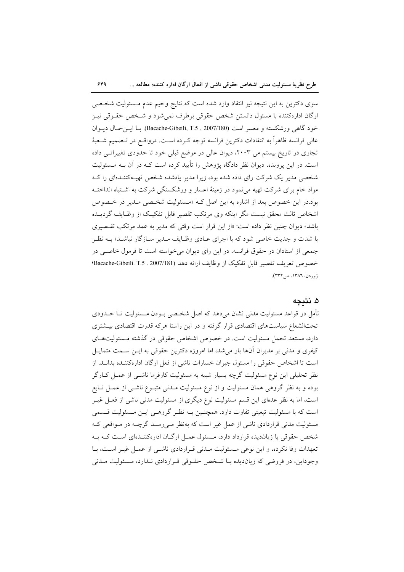$549$ 

سوی دکترین به این نتیجه نیز انتقاد وارد شده است که نتایج وخیم عدم مـسئولیت شخـصی ارگان ادارهکننده با مسئول دانستن شخص حقوقی برطرف نمی شود و شـخص حقـوقی نیـز خود گاهی ورشکسته و معسر است (Bacache-Gibeili, T.5 , 2007/180). بـا ايـنحـال ديــوان عالی فرانسه ظاهراً به انتقادات دکترین فرانسه توجه کـرده اسـت. درواقــع در تــصمیم شــعبهٔ تجاری در تاریخ بیستم می ۲۰۰۳، دیوان عالی در موضع قبلی خود تا حدودی تغییراتبی داده است. در این پرونده، دیوان نظر دادگاه پژوهش را تأیید کرده است کـه در آن بـه مــسئولیت شخصی مدیر یک شرکت رای داده شده بود، زیرا مدیر یادشده شخص تهیـهکننـدهای را کـه مواد خام برای شرکت تهیه می نمود در زمینهٔ اعسار و ورشکستگی شرکت به اشـتباه انداختـه بود.در این خصوص بعد از اشاره به این اصل کـه «مـسئولیت شخـصی مـدیر در خـصوص اشخاص ثالث محقق نیست مگر اینکه وی مرتکب تقصیر قابل تفکیک از وظـایف گردیــده باشد» دیوان چنین نظر داده است: «از این قرار است وقتی که مدیر به عمد مرتکب تقسصری با شدت و جدیت خاصی شود که با اجرای عـادی وظـایف مـدیر سـازگار نباشـد» بـه نظـر جمعی از استادان در حقوق فرانسه، در این رای دیوان می خواسته است تا فرمول خاصبی در خصوص تعريف تقصير قابل تفكيك از وظايف ارائه دهد (Bacache-Gibeili. T.5 . 2007/181؛ ژوردن، ١٣٨٦، ص٣٣٢).

### ۵. نتىجە

تأمل در قواعد مسئولیت مدنی نشان میدهد که اصل شخـصی بــودن مــسئولیت تــا حــدودی تحتالشعاع سیاستهای اقتصادی قرار گرفته و در این راستا هرکه قدرت اقتصادی بیـشتری دارد، مستعد تحمل مسئوليت است. در خصوص اشخاص حقوقي در گذشته مسئوليتهاي کیفری و مدنی بر مدیران آنها بار میشد، اما امروزه دکترین حقوقی به ایـن سـمت متمایـل است تا اشخاص حقوقی را مسئول جبران خسارات ناشی از فعل ارگان ادارهکننـده بدانـد. از نظر تحلیلی این نوع مسئولیت گرچه بسیار شبیه به مسئولیت کارفرما ناشــی از عمــل کــارگر بوده و به نظر گروهی همان مسئولیت و از نوع مسئولیت مـدنی متبـوع ناشـی از عمـل تـابع است، اما به نظر عدهای این قسم مسئولیت نوع دیگری از مسئولیت مدنی ناشی از فعـل غیـر است که با مسئولیت تبعیتی تفاوت دارد. همچنـین بـه نظـر گروهـی ایــن مــسئولیت قــسمی مسئولیت مدنی قراردادی ناشی از عمل غیر است که بهنظر مـیرسـد گرچــه در مـواقعی کـه شخص حقوقی با زیاندیده قرارداد دارد، مسئول عمـل ارگـان ادارهکننـدهای اسـت کـه بـه تعهدات وفا نكرده، و اين نوعي مسئوليت مـدني قـراردادي ناشـي از عمـل غيـر اسـت، بـا وجوداین، در فروضی که زیاندیده بـا شـخص حقـوقی قـراردادی نـدارد، مـسئولیت مـدنی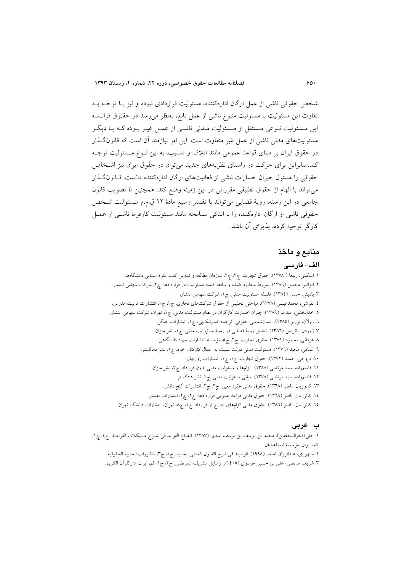شخص حقوقی ناشی از عمل ارگان ادارهکننده، مسئولیت قراردادی نبوده و نیز بــا توجــه بــه تفاوت این مسئولیت با مسئولیت متبوع ناشی از عمل تابع، بهنظر میرسد در حقـوق فرانـسه این مـسئولیت نــوعی مـستقل از مـسئولیت مــدنی ناشــی از عمــل غیــر بــوده کــه بــا دیگــر مسئولیتهای مدنی ناشی از عمل غیر متفاوت است. این امر نیازمند آن است که قانون گـذار در حقوق ایران بر مبنای قواعد عمومی مانند اتلاف و تسبیب، به این نـوع مـسئولیت توجـه کند. بنابراین برای حرکت در راستای نظریههای جدید می توان در حقوق ایران نیز اشتخاص حقوقی را مسئول جبران خسارات ناشی از فعالیتهای ارگان ادارهکننده دانست. قـانون گـذار مي تواند با الهام از حقوق تطبيقي مقرراتي در اين زمينه وضع كند. همچنين تا تصويب قانون جامعی در این زمینه، رویهٔ قضایی میتواند با تفسیر وسیع مادهٔ ۱۲ ق.م.م مسئولیت شخص حقوقی ناشی از ارگان ادارهکننده را با اندکی مسامحه مانند مسئولیت کارفرما ناشبی از عمـل کارگر توجیه کرده، پذیرای آن باشد.

### منابع و مآخذ

#### الف– فارسى

١. اسکینی، ربیعا ( ١٣٧٨). حقوق تجارت. ج٢، چ٢، سازمان مطالعه و تدوین کتب علوم انسانی دانشگاهها. ۲. ایزانلو، محسن (۱۳۸٦). شروط محدود کننده و ساقط کننده مسئولیت در قراردادها. چ۲، شرکت سهامی انتشار. ۳. بادینی، حسن (١٣٨٤). فلسفه مسئولیت مدنی. چ۱، شرکت سهامی انتشار. ٤. تفرشي، محمدعيسي (١٣٧٨). مباحثي تحليلي از حقوق شركتهاي تجاري. ج١، چ١، انتشارات تربيت مدرس. ۵. خدابخشی، عبدالله (۱۳۸۹). جبران خسارت کارگران در نظام مسئولیت مدنی. چ۱، تهران، شرکت سهامی انتشار. ٦. رولان، نوربر (١٣٨٥). انسانشناسي حقوقي. ترجمه: اميرنيکپي، چ١، انتشارات جنگل. ٧. ژوردن، پاتریس (١٣٨٦). تحلیل رویهٔ قضایی در زمینهٔ مسؤولیت مدنی. چ ١، نشر میزان. ٨ عرفانی، محمود (١٣٧١). حقوق تجارت. ج٢، چ٥، مؤسسهٔ انتشارات جهاد دانشگاهی. ۹. غمامی، مجید (۱۳۷٦). مسئولیت مدنی دولت نسبت به اعمال کارکنان خود. چ۱، نشر دادگستر. ۱۰. فروحی، حمید (۱۳۷۲). حقوق تجارت. ج۱، چ۱، انتشارات روزبهان. ٠١١. قاسمزاده، سيد مرتضى (١٣٨٨). الزامها و مسئوليت مدنى بدون قرارداد. چ٧، نشر ميزان. ۱۲. قاسمزاده، سید مرتضی (۱۳۷۸). مبانی مسئولیت مدنی، چ۱، نشر دادگستر. ١٣. كاتوزيان، ناصر (١٣٦٨). حقوق مدنى عقود معين. ج٢، چ٢، انتشارات گنج دانش. ١٤. كاتوزيان، ناصر (١٣٦٩). حقوق مدنى قواعد عمومى قراردادها. ج٢، چ٢، انتشارات بهنشر. ۱۵. کاتوزیان، ناصر (۱۳۸٦). حقوق مدنی الزامهای خارج از قرارداد. ج۱، چ۸ تهران، انتشارات دانشگاه تهران.

#### ب- عربی

١. حلي(فخرالمحققين)، محمد بن يوسف بن يوسف اسدى (١٣٨٧). ايضاح الفوايد في شـرح مـشكلات القواعـد. ج ٤، چ ١، قم، ايران، مؤسسهٔ اسماعيليان.

٢. سنهوري، عبدالرزاق احمد (١٩٩٨). الوسيط في شرح القانون المدنى الجديد. ج١، چ٣، منشورات الحلبيه الحقوقيه. ٣. شريف مرتضى، على بن حسين موسوى (١٤٠٥). رسايل الشريف المرتضى. ج٢، چ١، قم، ايران، دارالقرآن الكريم.